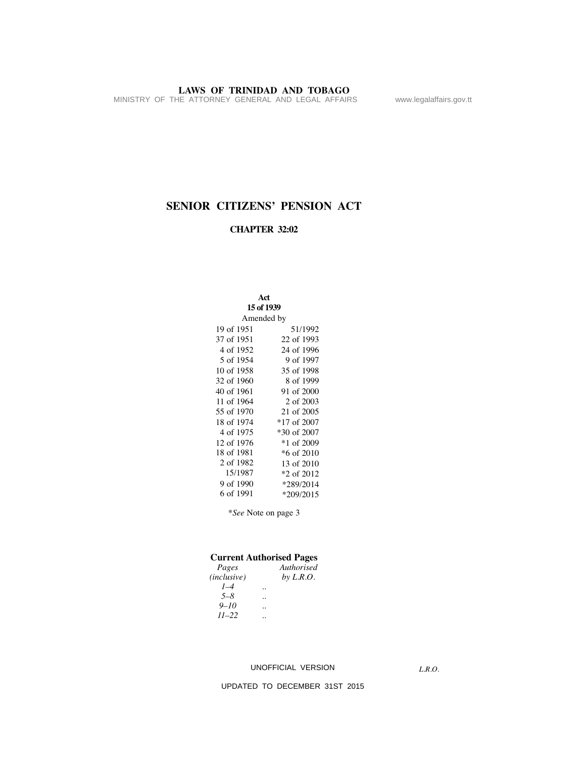MINISTRY OF THE ATTORNEY GENERAL AND LEGAL AFFAIRS www.legalaffairs.gov.tt

# **SENIOR CITIZENS' PENSION ACT**

# **CHAPTER 32:02**

| Act<br>15 of 1939 |               |
|-------------------|---------------|
| Amended by        |               |
| 19 of 1951        | 51/1992       |
| 37 of 1951        | 22 of 1993    |
| 4 of 1952         | 24 of 1996    |
| 5 of 1954         | 9 of 1997     |
| 10 of 1958        | 35 of 1998    |
| 32 of 1960        | 8 of 1999     |
| 40 of 1961        | 91 of 2000    |
| 11 of 1964        | 2 of 2003     |
| 55 of 1970        | 21 of 2005    |
| 18 of 1974        | $*17$ of 2007 |
| 4 of 1975         | *30 of 2007   |
| 12 of 1976        | *1 of 2009    |
| 18 of 1981        | *6 of 2010    |
| 2 of 1982         | 13 of 2010    |
| 15/1987           | *2 of 2012    |
| 9 of 1990         | *289/2014     |
| 6 of 1991         | $*209/2015$   |

\**See* Note on page 3

# **Current Authorised Pages**

| Pages       |                      | Authorised  |
|-------------|----------------------|-------------|
| (inclusive) |                      | by $L.R.O.$ |
| $1 - 4$     | $\ddot{\phantom{0}}$ |             |
| $5 - 8$     | $\ddot{\phantom{0}}$ |             |
| $9 - 10$    | $\ddot{\phantom{0}}$ |             |
| $11 - 22$   | $\ddot{\phantom{0}}$ |             |

# UNOFFICIAL VERSION

*L.R.O.*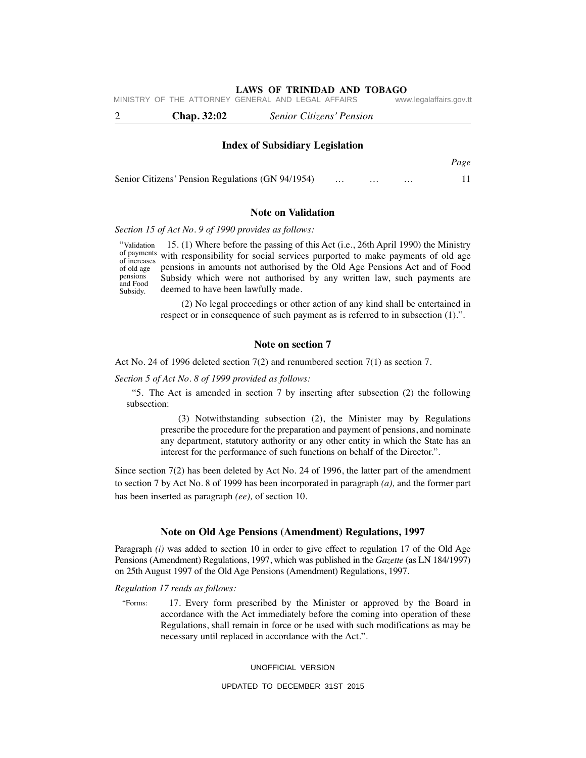*Page*

|  | <b>Chap.</b> 32:02                                 |  | <b>Senior Citizens' Pension</b> |                         |
|--|----------------------------------------------------|--|---------------------------------|-------------------------|
|  | MINISTRY OF THE ATTORNEY GENERAL AND LEGAL AFFAIRS |  |                                 | www.legalaffairs.gov.tt |

#### **Index of Subsidiary Legislation**

| Senior Citizens' Pension Regulations (GN 94/1954) |  |  |  |
|---------------------------------------------------|--|--|--|
|                                                   |  |  |  |

# **Note on Validation**

*Section 15 of Act No. 9 of 1990 provides as follows:*

 15. (1) Where before the passing of this Act (i.e., 26th April 1990) the Ministry of payments with responsibility for social services purported to make payments of old age pensions in amounts not authorised by the Old Age Pensions Act and of Food Subsidy which were not authorised by any written law, such payments are deemed to have been lawfully made. "Validation of increases of old age pensions and Food Subsidy.

> (2) No legal proceedings or other action of any kind shall be entertained in respect or in consequence of such payment as is referred to in subsection (1).".

# **Note on section 7**

Act No. 24 of 1996 deleted section 7(2) and renumbered section 7(1) as section 7.

*Section 5 of Act No. 8 of 1999 provided as follows:*

"5. The Act is amended in section 7 by inserting after subsection (2) the following subsection:

> (3) Notwithstanding subsection (2), the Minister may by Regulations prescribe the procedure for the preparation and payment of pensions, and nominate any department, statutory authority or any other entity in which the State has an interest for the performance of such functions on behalf of the Director.".

Since section 7(2) has been deleted by Act No. 24 of 1996, the latter part of the amendment to section 7 by Act No. 8 of 1999 has been incorporated in paragraph *(a),* and the former part has been inserted as paragraph *(ee),* of section 10.

# **Note on Old Age Pensions (Amendment) Regulations, 1997**

Paragraph *(i)* was added to section 10 in order to give effect to regulation 17 of the Old Age Pensions (Amendment) Regulations, 1997, which was published in the *Gazette* (as LN 184/1997) on 25th August 1997 of the Old Age Pensions (Amendment) Regulations, 1997.

#### *Regulation 17 reads as follows:*

 17. Every form prescribed by the Minister or approved by the Board in accordance with the Act immediately before the coming into operation of these Regulations, shall remain in force or be used with such modifications as may be necessary until replaced in accordance with the Act.". "Forms:

#### UNOFFICIAL VERSION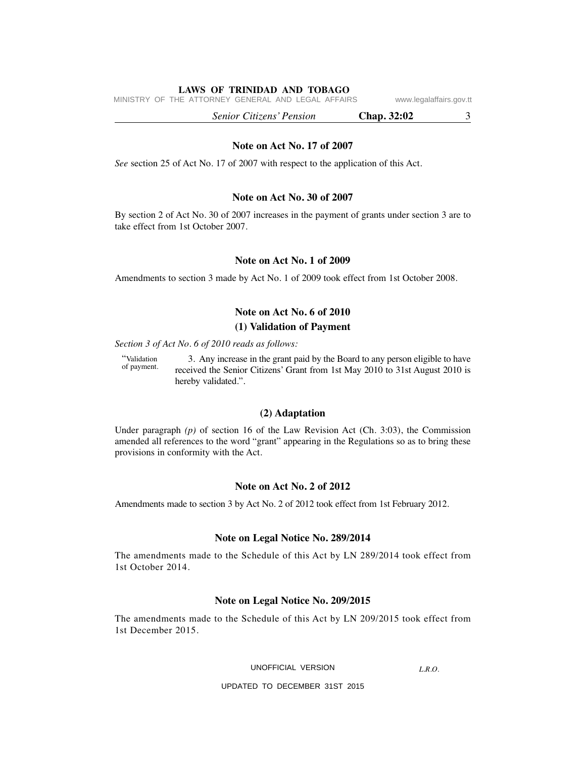MINISTRY OF THE ATTORNEY GENERAL AND LEGAL AFFAIRS www.legalaffairs.gov.tt

 *Senior Citizens' Pension* **Chap. 32:02** 3

#### **Note on Act No. 17 of 2007**

*See* section 25 of Act No. 17 of 2007 with respect to the application of this Act.

# **Note on Act No. 30 of 2007**

By section 2 of Act No. 30 of 2007 increases in the payment of grants under section 3 are to take effect from 1st October 2007.

# **Note on Act No. 1 of 2009**

Amendments to section 3 made by Act No. 1 of 2009 took effect from 1st October 2008.

# **Note on Act No. 6 of 2010**

# **(1) Validation of Payment**

*Section 3 of Act No. 6 of 2010 reads as follows:*

 3. Any increase in the grant paid by the Board to any person eligible to have received the Senior Citizens' Grant from 1st May 2010 to 31st August 2010 is hereby validated.". "Validation of payment.

# **(2) Adaptation**

Under paragraph *(p)* of section 16 of the Law Revision Act (Ch. 3:03), the Commission amended all references to the word "grant" appearing in the Regulations so as to bring these provisions in conformity with the Act.

# **Note on Act No. 2 of 2012**

Amendments made to section 3 by Act No. 2 of 2012 took effect from 1st February 2012.

# **Note on Legal Notice No. 289/2014**

The amendments made to the Schedule of this Act by LN 289/2014 took effect from 1st October 2014.

#### **Note on Legal Notice No. 209/2015**

The amendments made to the Schedule of this Act by LN 209/2015 took effect from 1st December 2015.

#### UNOFFICIAL VERSION

*L.R.O.*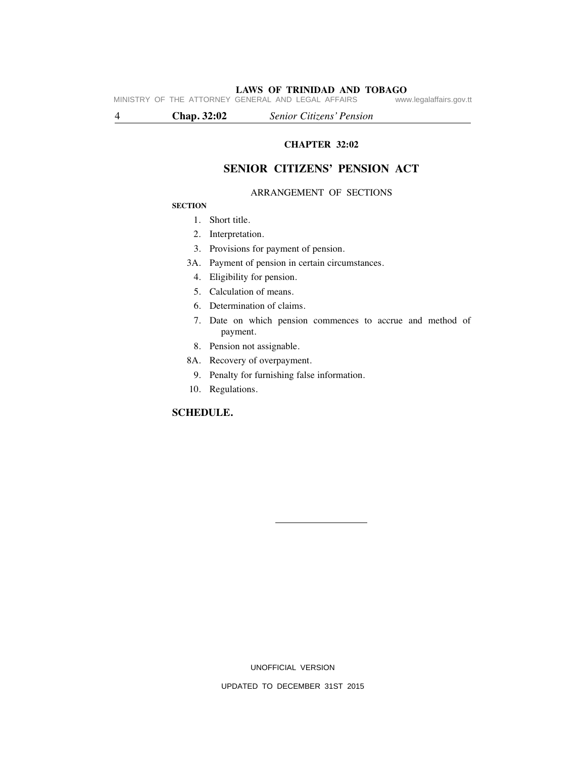**LAWS OF TRINIDAD AND TOBAGO**<br>GENERAL AND LEGAL AFFAIRS www.legalaffairs.gov.tt MINISTRY OF THE ATTORNEY GENERAL AND LEGAL AFFAIRS

4 **Chap. 32:02** *Senior Citizens' Pension*

# **CHAPTER 32:02**

# **SENIOR CITIZENS' PENSION ACT**

# ARRANGEMENT OF SECTIONS

# **SECTION**

- 1. Short title.
- 2. Interpretation.
- 3. Provisions for payment of pension.
- 3A. Payment of pension in certain circumstances.
- 4. Eligibility for pension.
- 5. Calculation of means.
- 6. Determination of claims.
- 7. Date on which pension commences to accrue and method of payment.
- 8. Pension not assignable.
- 8A. Recovery of overpayment.
	- 9. Penalty for furnishing false information.
- 10. Regulations.

# **SCHEDULE.**

UNOFFICIAL VERSION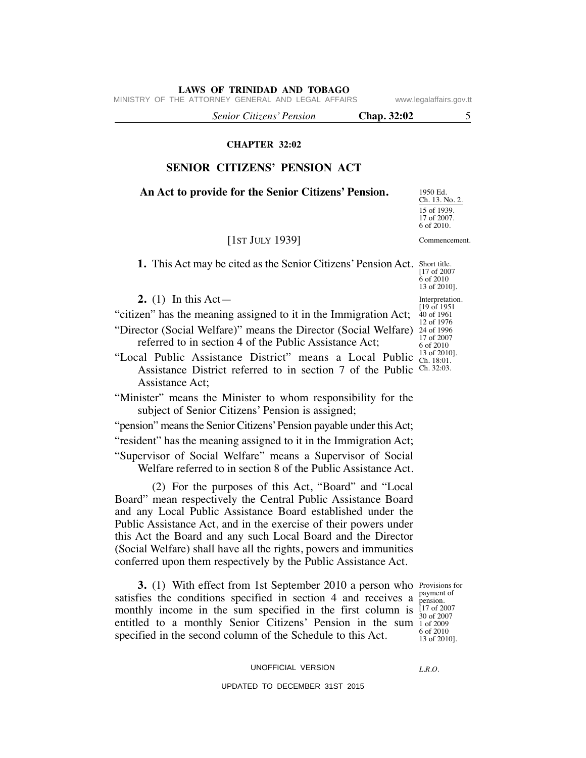MINISTRY OF THE ATTORNEY GENERAL AND LEGAL AFFAIRS www.legalaffairs.gov.tt

 *Senior Citizens' Pension* **Chap. 32:02** 5

# **CHAPTER 32:02**

# **SENIOR CITIZENS' PENSION ACT**

# **An Act to provide for the Senior Citizens' Pension.**

# [1ST JULY 1939]

**1.** This Act may be cited as the Senior Citizens' Pension Act. Short title. [17 of 2007

**2.** (1) In this Act—

"citizen" has the meaning assigned to it in the Immigration Act;

"Director (Social Welfare)" means the Director (Social Welfare) 24 of 1996 referred to in section 4 of the Public Assistance Act;

"Local Public Assistance District" means a Local Public  $\frac{13}{\text{Ch. 18:01}}$ Assistance District referred to in section 7 of the Public Ch. 32:03. Assistance Act;

"Minister" means the Minister to whom responsibility for the subject of Senior Citizens' Pension is assigned;

"pension" means the Senior Citizens' Pension payable under this Act;

"resident" has the meaning assigned to it in the Immigration Act;

"Supervisor of Social Welfare" means a Supervisor of Social Welfare referred to in section 8 of the Public Assistance Act.

 (2) For the purposes of this Act, "Board" and "Local Board" mean respectively the Central Public Assistance Board and any Local Public Assistance Board established under the Public Assistance Act, and in the exercise of their powers under this Act the Board and any such Local Board and the Director (Social Welfare) shall have all the rights, powers and immunities conferred upon them respectively by the Public Assistance Act.

**3.** (1) With effect from 1st September 2010 a person who Provisions for monthly income in the sum specified in the first column is  $^{[17 \text{ of } 2007}_{[20 \text{ of } 2007]}$ entitled to a monthly Senior Citizens' Pension in the sum 1 of 2009 satisfies the conditions specified in section 4 and receives a specified in the second column of the Schedule to this Act.

payment of pension. 30 of 2007 6 of 2010 13 of 2010].

UNOFFICIAL VERSION

*L.R.O.* 

UPDATED TO DECEMBER 31ST 2015

6 of 2010 13 of 2010]. Interpretation.  $[19 \text{ of } 1951]$ 40 of 1961 12 of 1976 17 of 2007 6 of 2010 13 of 2010].

Ch. 13. No. 2. 15 of 1939. 17 of 2007. 6 of 2010.

Commencement.

1950 Ed.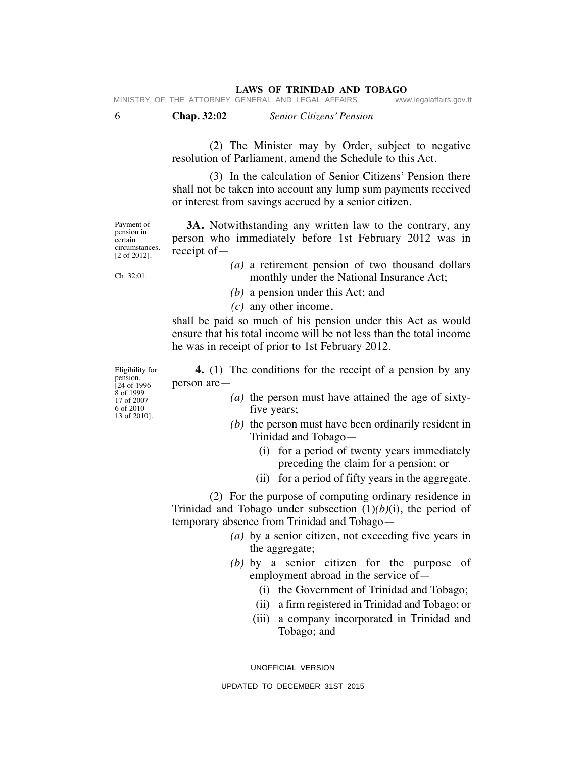MINISTRY OF THE ATTORNEY GENERAL AND LEGAL AFFAIRS

6 **Chap. 32:02** *Senior Citizens' Pension*

 (2) The Minister may by Order, subject to negative resolution of Parliament, amend the Schedule to this Act.

 (3) In the calculation of Senior Citizens' Pension there shall not be taken into account any lump sum payments received or interest from savings accrued by a senior citizen.

 **3A.** Notwithstanding any written law to the contrary, any person who immediately before 1st February 2012 was in

Payment of pension in certain circumstances. [2 of 2012].

Ch. 32:01.

receipt of— *(a)* a retirement pension of two thousand dollars

monthly under the National Insurance Act;

*(b)* a pension under this Act; and

*(c)* any other income,

shall be paid so much of his pension under this Act as would ensure that his total income will be not less than the total income he was in receipt of prior to 1st February 2012.

 **4.** (1) The conditions for the receipt of a pension by any person are—

- *(a)* the person must have attained the age of sixtyfive years;
- *(b)* the person must have been ordinarily resident in Trinidad and Tobago—
	- (i) for a period of twenty years immediately preceding the claim for a pension; or
	- (ii) for a period of fifty years in the aggregate.

 (2) For the purpose of computing ordinary residence in Trinidad and Tobago under subsection (1)*(b)*(i), the period of temporary absence from Trinidad and Tobago—

- *(a)* by a senior citizen, not exceeding five years in the aggregate;
- *(b)* by a senior citizen for the purpose of employment abroad in the service of—
	- (i) the Government of Trinidad and Tobago;
	- (ii) a firm registered in Trinidad and Tobago; or
	- (iii) a company incorporated in Trinidad and Tobago; and

UNOFFICIAL VERSION

UPDATED TO DECEMBER 31ST 2015

Eligibility for pension. [24 of 1996 8 of 1999 17 of 2007 6 of 2010 13 of 2010].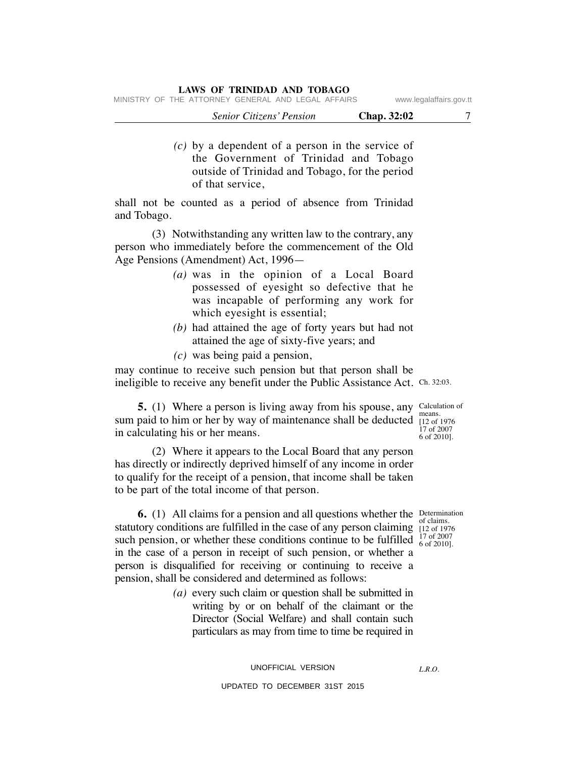|  | MINISTRY OF THE ATTORNEY GENERAL AND LEGAL AFFAIRS |  |  | www.legalaffairs.gov.tt |
|--|----------------------------------------------------|--|--|-------------------------|
|  |                                                    |  |  |                         |

| <b>Senior Citizens' Pension</b> | Chap. 32:02 |
|---------------------------------|-------------|
|                                 |             |

 *(c)* by a dependent of a person in the service of the Government of Trinidad and Tobago outside of Trinidad and Tobago, for the period of that service,

shall not be counted as a period of absence from Trinidad and Tobago.

 (3) Notwithstanding any written law to the contrary, any person who immediately before the commencement of the Old Age Pensions (Amendment) Act, 1996—

- *(a)* was in the opinion of a Local Board possessed of eyesight so defective that he was incapable of performing any work for which eyesight is essential;
- *(b)* had attained the age of forty years but had not attained the age of sixty-five years; and
- *(c)* was being paid a pension,

ineligible to receive any benefit under the Public Assistance Act. Ch. 32:03. may continue to receive such pension but that person shall be

**5.** (1) Where a person is living away from his spouse, any Calculation of sum paid to him or her by way of maintenance shall be deducted  $\frac{12}{112}$  of 1976 in calculating his or her means.

means. 17 of 2007 6 of 2010].

 (2) Where it appears to the Local Board that any person has directly or indirectly deprived himself of any income in order to qualify for the receipt of a pension, that income shall be taken to be part of the total income of that person.

> of claims. 17 of 2007

**6.** (1) All claims for a pension and all questions whether the Determination statutory conditions are fulfilled in the case of any person claiming  $\frac{61}{112}$  of 1976 such pension, or whether these conditions continue to be fulfilled  $\frac{1}{6}$  of  $\frac{200}{2010}$ . in the case of a person in receipt of such pension, or whether a person is disqualified for receiving or continuing to receive a pension, shall be considered and determined as follows:

> *(a)* every such claim or question shall be submitted in writing by or on behalf of the claimant or the Director (Social Welfare) and shall contain such particulars as may from time to time be required in

*L.R.O.*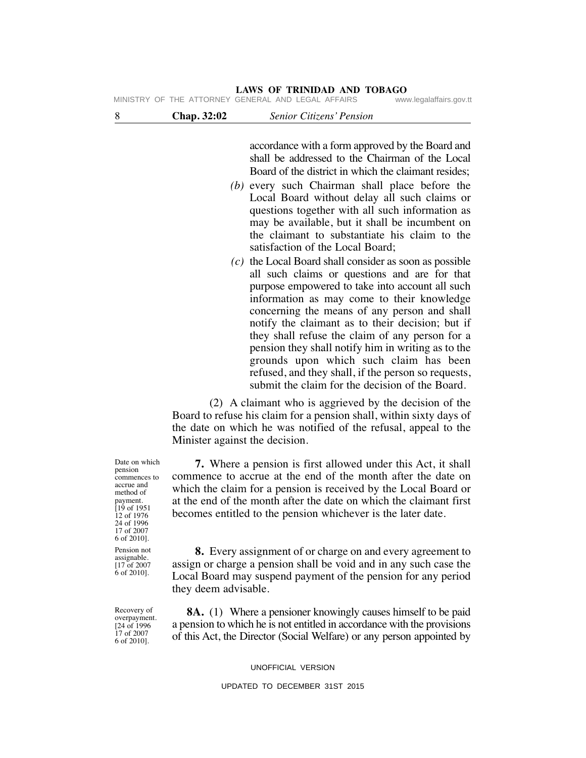| 8                                                                               | Chap. 32:02                    | Senior Citizens' Pension                                                                                                                                                                                                                                                                                                                                                                                                                                                                                                                                                                                                                                                                                                                                                                                                                                                                                                                                                                                                               |
|---------------------------------------------------------------------------------|--------------------------------|----------------------------------------------------------------------------------------------------------------------------------------------------------------------------------------------------------------------------------------------------------------------------------------------------------------------------------------------------------------------------------------------------------------------------------------------------------------------------------------------------------------------------------------------------------------------------------------------------------------------------------------------------------------------------------------------------------------------------------------------------------------------------------------------------------------------------------------------------------------------------------------------------------------------------------------------------------------------------------------------------------------------------------------|
|                                                                                 |                                | accordance with a form approved by the Board and<br>shall be addressed to the Chairman of the Local<br>Board of the district in which the claimant resides;<br>(b) every such Chairman shall place before the<br>Local Board without delay all such claims or<br>questions together with all such information as<br>may be available, but it shall be incumbent on<br>the claimant to substantiate his claim to the<br>satisfaction of the Local Board;<br>$(c)$ the Local Board shall consider as soon as possible<br>all such claims or questions and are for that<br>purpose empowered to take into account all such<br>information as may come to their knowledge<br>concerning the means of any person and shall<br>notify the claimant as to their decision; but if<br>they shall refuse the claim of any person for a<br>pension they shall notify him in writing as to the<br>grounds upon which such claim has been<br>refused, and they shall, if the person so requests,<br>submit the claim for the decision of the Board. |
|                                                                                 | Minister against the decision. | (2) A claimant who is aggrieved by the decision of the<br>Board to refuse his claim for a pension shall, within sixty days of<br>the date on which he was notified of the refusal, appeal to the                                                                                                                                                                                                                                                                                                                                                                                                                                                                                                                                                                                                                                                                                                                                                                                                                                       |
| Date on which<br>pension<br>commences to<br>accrue and<br>method of<br>payment. |                                | <b>7.</b> Where a pension is first allowed under this Act, it shall<br>commence to accrue at the end of the month after the date on<br>which the claim for a pension is received by the Local Board or<br>at the end of the month after the date on which the claimant first                                                                                                                                                                                                                                                                                                                                                                                                                                                                                                                                                                                                                                                                                                                                                           |

payment.  $1951$ 12 of 1976 24 of 1996 17 of 2007 6 of 2010].

Pension not assignable. [17 of 2007 6 of 2010].

 **8.** Every assignment of or charge on and every agreement to assign or charge a pension shall be void and in any such case the Local Board may suspend payment of the pension for any period they deem advisable.

becomes entitled to the pension whichever is the later date.

Recovery of overpayment. [24 of 1996 17 of 2007 6 of 2010].

 **8A.** (1) Where a pensioner knowingly causes himself to be paid a pension to which he is not entitled in accordance with the provisions of this Act, the Director (Social Welfare) or any person appointed by

UNOFFICIAL VERSION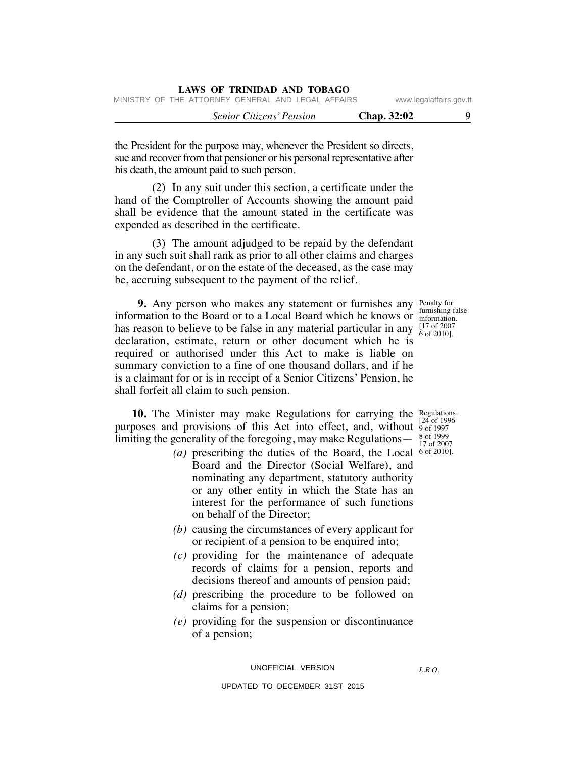|  | LAWS OF TRINIDAD AND TOBAGO |  |  |
|--|-----------------------------|--|--|
|  |                             |  |  |

MINISTRY OF THE ATTORNEY GENERAL AND LEGAL AFFAIRS www.legalaffairs.gov.tt

 *Senior Citizens' Pension* **Chap. 32:02** 9

the President for the purpose may, whenever the President so directs, sue and recover from that pensioner or his personal representative after

 (2) In any suit under this section, a certificate under the hand of the Comptroller of Accounts showing the amount paid shall be evidence that the amount stated in the certificate was expended as described in the certificate.

his death, the amount paid to such person.

 (3) The amount adjudged to be repaid by the defendant in any such suit shall rank as prior to all other claims and charges on the defendant, or on the estate of the deceased, as the case may be, accruing subsequent to the payment of the relief.

**9.** Any person who makes any statement or furnishes any Penalty for information to the Board or to a Local Board which he knows or  $\frac{1}{\text{information}}$ . has reason to believe to be false in any material particular in any  $\frac{[17 \text{ of } 2007]}{6 \text{ of } 2010]}$ declaration, estimate, return or other document which he is required or authorised under this Act to make is liable on summary conviction to a fine of one thousand dollars, and if he is a claimant for or is in receipt of a Senior Citizens' Pension, he shall forfeit all claim to such pension.

**10.** The Minister may make Regulations for carrying the Regulations. purposes and provisions of this Act into effect, and, without  $\frac{124}{9}$  of 1997 limiting the generality of the foregoing, may make Regulations—

- (a) prescribing the duties of the Board, the Local  $6$  of 2010]. Board and the Director (Social Welfare), and nominating any department, statutory authority or any other entity in which the State has an interest for the performance of such functions on behalf of the Director;
	- *(b)* causing the circumstances of every applicant for or recipient of a pension to be enquired into;
	- *(c)* providing for the maintenance of adequate records of claims for a pension, reports and decisions thereof and amounts of pension paid;
	- *(d)* prescribing the procedure to be followed on claims for a pension;
	- *(e)* providing for the suspension or discontinuance of a pension;

UNOFFICIAL VERSION

furnishing false [17 of 2007

[24 of 1996 8 of 1999 17 of 2007

*L.R.O.*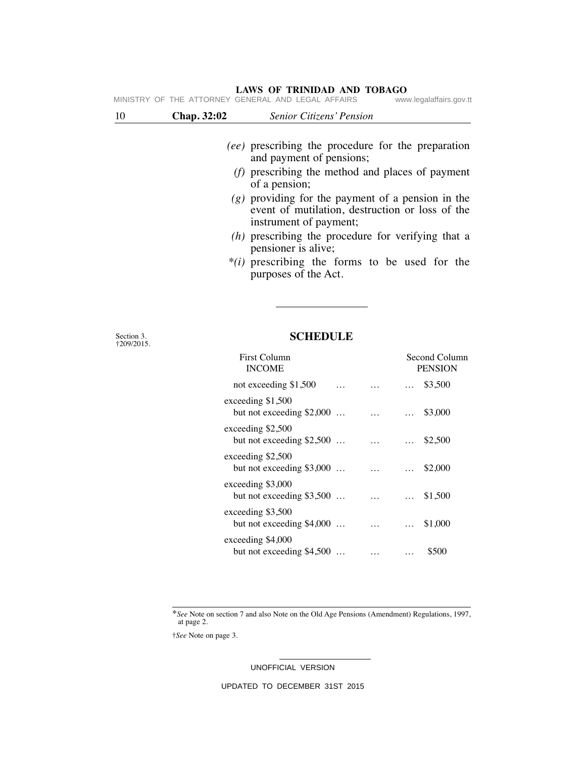| MINISTRY |             | OF THE ATTORNEY GENERAL AND LEGAL AFFAIRS                                                                                        | www.legalaffairs.gov.tt |
|----------|-------------|----------------------------------------------------------------------------------------------------------------------------------|-------------------------|
| 10       | Chap. 32:02 | Senior Citizens' Pension                                                                                                         |                         |
|          |             | <i>(ee)</i> prescribing the procedure for the preparation<br>and payment of pensions;                                            |                         |
|          |             | (f) prescribing the method and places of payment<br>of a pension;                                                                |                         |
|          |             | $(g)$ providing for the payment of a pension in the<br>event of mutilation, destruction or loss of the<br>instrument of payment; |                         |
|          |             | (h) prescribing the procedure for verifying that a<br>pensioner is alive;                                                        |                         |
|          |             | $*(i)$ prescribing the forms to be used for the<br>purposes of the Act.                                                          |                         |

Section 3. †209/2015.

# **SCHEDULE**

| <b>First Column</b><br><b>INCOME</b>            | Second Column<br><b>PENSION</b> |
|-------------------------------------------------|---------------------------------|
| not exceeding \$1,500                           | \$3,500<br>.                    |
| exceeding \$1,500<br>but not exceeding $$2,000$ | \$3,000<br>$\cdots$<br>$\cdots$ |
| exceeding \$2,500<br>but not exceeding $$2,500$ | \$2,500<br>$\cdots$<br>$\cdots$ |
| exceeding \$2,500<br>but not exceeding $$3,000$ | \$2,000<br>$\cdots$             |
| exceeding \$3,000<br>but not exceeding $$3,500$ | \$1,500<br>$\cdots$<br>$\cdots$ |
| exceeding \$3,500<br>but not exceeding $$4,000$ | \$1,000<br>$\cdots$<br>$\cdots$ |
| exceeding \$4,000<br>but not exceeding $$4,500$ | \$500<br>.<br>$\cdots$          |

\**See* Note on section 7 and also Note on the Old Age Pensions (Amendment) Regulations, 1997, at page 2.

†*See* Note on page 3.

UNOFFICIAL VERSION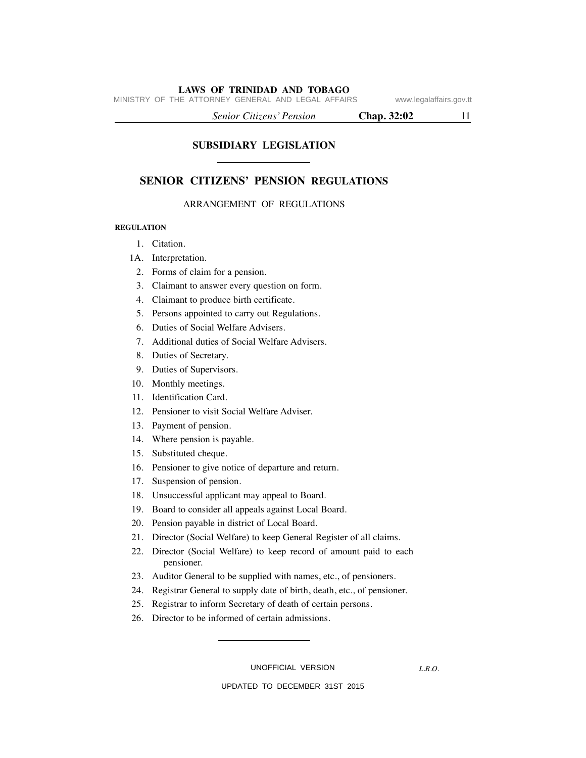MINISTRY OF THE ATTORNEY GENERAL AND LEGAL AFFAIRS www.legalaffairs.gov.tt

 *Senior Citizens' Pension* **Chap. 32:02** 11

**SUBSIDIARY LEGISLATION**

# **SENIOR CITIZENS' PENSION REGULATIONS**

# ARRANGEMENT OF REGULATIONS

#### **REGULATION**

- 1. Citation.
- 1A. Interpretation.
- 2. Forms of claim for a pension.
- 3. Claimant to answer every question on form.
- 4. Claimant to produce birth certificate.
- 5. Persons appointed to carry out Regulations.
- 6. Duties of Social Welfare Advisers.
- 7. Additional duties of Social Welfare Advisers.
- 8. Duties of Secretary.
- 9. Duties of Supervisors.
- 10. Monthly meetings.
- 11. Identification Card.
- 12. Pensioner to visit Social Welfare Adviser.
- 13. Payment of pension.
- 14. Where pension is payable.
- 15. Substituted cheque.
- 16. Pensioner to give notice of departure and return.
- 17. Suspension of pension.
- 18. Unsuccessful applicant may appeal to Board.
- 19. Board to consider all appeals against Local Board.
- 20. Pension payable in district of Local Board.
- 21. Director (Social Welfare) to keep General Register of all claims.
- 22. Director (Social Welfare) to keep record of amount paid to each pensioner.
- 23. Auditor General to be supplied with names, etc., of pensioners.
- 24. Registrar General to supply date of birth, death, etc., of pensioner.
- 25. Registrar to inform Secretary of death of certain persons.
- 26. Director to be informed of certain admissions.

UNOFFICIAL VERSION

*L.R.O.*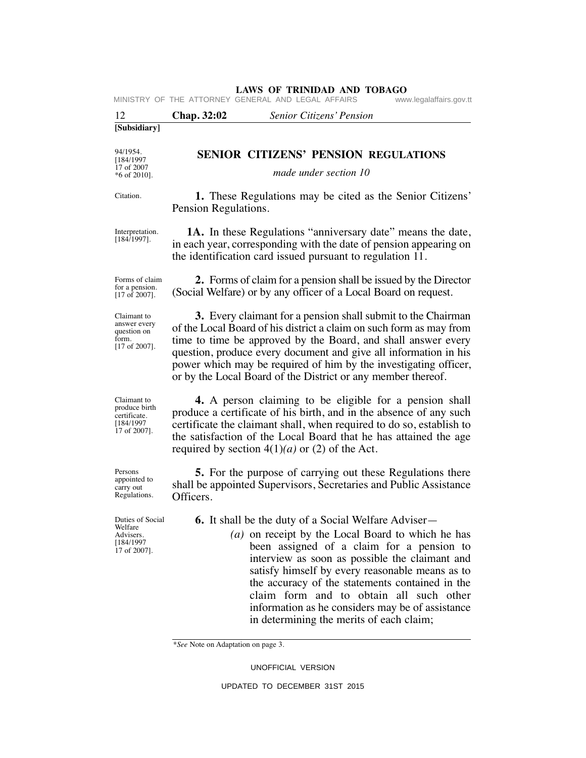| 12                                                                        | Chap. 32:02<br>Senior Citizens' Pension                                                                                                                                                                                                                                                                                                                                                                                                                          |
|---------------------------------------------------------------------------|------------------------------------------------------------------------------------------------------------------------------------------------------------------------------------------------------------------------------------------------------------------------------------------------------------------------------------------------------------------------------------------------------------------------------------------------------------------|
| [Subsidiary]                                                              |                                                                                                                                                                                                                                                                                                                                                                                                                                                                  |
| 94/1954.<br>[184/1997]<br>17 of 2007                                      | <b>SENIOR CITIZENS' PENSION REGULATIONS</b>                                                                                                                                                                                                                                                                                                                                                                                                                      |
| $*6$ of 2010].                                                            | made under section 10                                                                                                                                                                                                                                                                                                                                                                                                                                            |
| Citation.                                                                 | <b>1.</b> These Regulations may be cited as the Senior Citizens'<br>Pension Regulations.                                                                                                                                                                                                                                                                                                                                                                         |
| Interpretation.<br>$[184/1997]$ .                                         | <b>1A.</b> In these Regulations "anniversary date" means the date,<br>in each year, corresponding with the date of pension appearing on<br>the identification card issued pursuant to regulation 11.                                                                                                                                                                                                                                                             |
| Forms of claim<br>for a pension.<br>$[17 \text{ of } 2007]$ .             | 2. Forms of claim for a pension shall be issued by the Director<br>(Social Welfare) or by any officer of a Local Board on request.                                                                                                                                                                                                                                                                                                                               |
| Claimant to<br>answer every<br>question on<br>form.<br>$[17$ of 2007].    | 3. Every claimant for a pension shall submit to the Chairman<br>of the Local Board of his district a claim on such form as may from<br>time to time be approved by the Board, and shall answer every<br>question, produce every document and give all information in his<br>power which may be required of him by the investigating officer,<br>or by the Local Board of the District or any member thereof.                                                     |
| Claimant to<br>produce birth<br>certificate.<br>[184/1997<br>17 of 2007]. | 4. A person claiming to be eligible for a pension shall<br>produce a certificate of his birth, and in the absence of any such<br>certificate the claimant shall, when required to do so, establish to<br>the satisfaction of the Local Board that he has attained the age<br>required by section $4(1)(a)$ or (2) of the Act.                                                                                                                                    |
| Persons<br>appointed to<br>carry out<br>Regulations.                      | 5. For the purpose of carrying out these Regulations there<br>shall be appointed Supervisors, Secretaries and Public Assistance<br>Officers.                                                                                                                                                                                                                                                                                                                     |
| Duties of Social<br>welfare<br>Advisers.<br>[184/1997<br>17 of 2007].     | <b>6.</b> It shall be the duty of a Social Welfare Adviser—<br>(a) on receipt by the Local Board to which he has<br>been assigned of a claim for a pension to<br>interview as soon as possible the claimant and<br>satisfy himself by every reasonable means as to<br>the accuracy of the statements contained in the<br>claim form and to obtain all such other<br>information as he considers may be of assistance<br>in determining the merits of each claim; |

\**See* Note on Adaptation on page 3.

UNOFFICIAL VERSION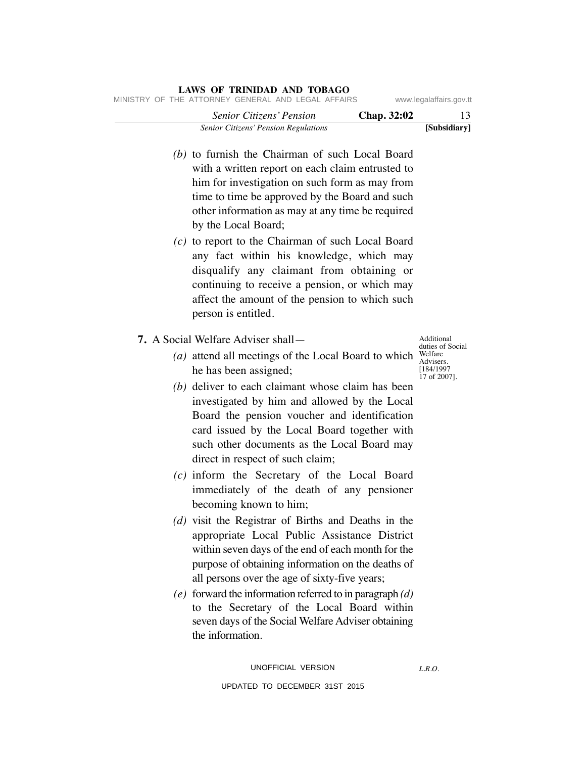| www.legalaffairs.gov.tt                           | MINISTRY OF THE ATTORNEY GENERAL AND LEGAL AFFAIRS                                                                                                                                                                                                                                   |
|---------------------------------------------------|--------------------------------------------------------------------------------------------------------------------------------------------------------------------------------------------------------------------------------------------------------------------------------------|
| 13                                                | Senior Citizens' Pension<br>Chap. 32:02                                                                                                                                                                                                                                              |
| [Subsidiary]                                      | Senior Citizens' Pension Regulations<br>(b) to furnish the Chairman of such Local Board<br>with a written report on each claim entrusted to<br>him for investigation on such form as may from                                                                                        |
|                                                   | time to time be approved by the Board and such<br>other information as may at any time be required<br>by the Local Board;                                                                                                                                                            |
|                                                   | $(c)$ to report to the Chairman of such Local Board<br>any fact within his knowledge, which may<br>disqualify any claimant from obtaining or<br>continuing to receive a pension, or which may<br>affect the amount of the pension to which such<br>person is entitled.               |
| Additional<br>duties of Social                    | 7. A Social Welfare Adviser shall—                                                                                                                                                                                                                                                   |
| Welfare<br>Advisers.<br>[184/1997<br>17 of 2007]. | (a) attend all meetings of the Local Board to which<br>he has been assigned;                                                                                                                                                                                                         |
|                                                   | (b) deliver to each claimant whose claim has been<br>investigated by him and allowed by the Local<br>Board the pension voucher and identification<br>card issued by the Local Board together with<br>such other documents as the Local Board may<br>direct in respect of such claim; |
|                                                   | (c) inform the Secretary of the Local Board<br>immediately of the death of any pensioner<br>becoming known to him;                                                                                                                                                                   |
|                                                   | (d) visit the Registrar of Births and Deaths in the<br>appropriate Local Public Assistance District<br>within seven days of the end of each month for the<br>purpose of obtaining information on the deaths of<br>all persons over the age of sixty-five years;                      |
|                                                   | $(e)$ forward the information referred to in paragraph $(d)$<br>to the Secretary of the Local Board within<br>seven days of the Social Welfare Adviser obtaining<br>the information.                                                                                                 |
| L.R.O.                                            | UNOFFICIAL VERSION                                                                                                                                                                                                                                                                   |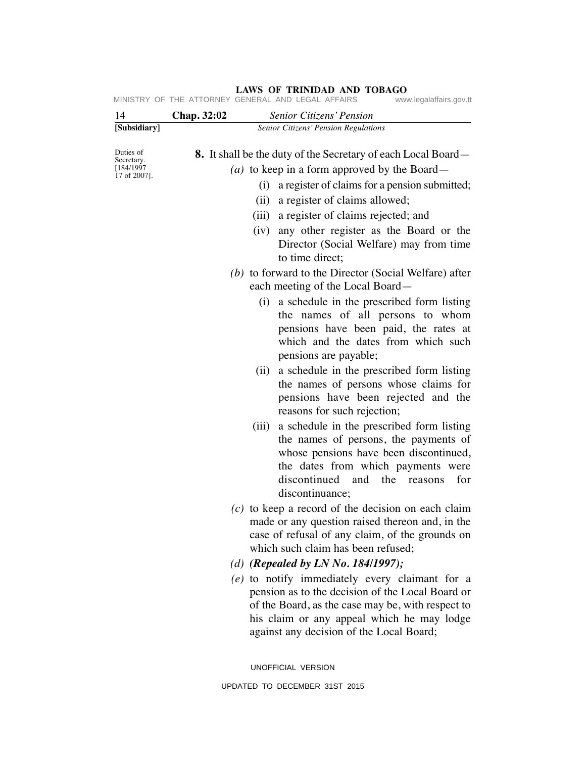| 14                                    | Chap. 32:02 | Senior Citizens' Pension                                                                                                                                                                                                                          |
|---------------------------------------|-------------|---------------------------------------------------------------------------------------------------------------------------------------------------------------------------------------------------------------------------------------------------|
| [Subsidiary]                          |             | Senior Citizens' Pension Regulations                                                                                                                                                                                                              |
| Duties of<br>Secretary.<br>[184/1997] |             | <b>8.</b> It shall be the duty of the Secretary of each Local Board—<br>( <i>a</i> ) to keep in a form approved by the Board —                                                                                                                    |
| 17 of 2007].                          |             | a register of claims for a pension submitted;<br>(i)                                                                                                                                                                                              |
|                                       |             | a register of claims allowed;<br>(ii)                                                                                                                                                                                                             |
|                                       |             | a register of claims rejected; and<br>(iii)                                                                                                                                                                                                       |
|                                       |             | any other register as the Board or the<br>(iv)<br>Director (Social Welfare) may from time<br>to time direct;                                                                                                                                      |
|                                       |             | (b) to forward to the Director (Social Welfare) after<br>each meeting of the Local Board—                                                                                                                                                         |
|                                       |             | a schedule in the prescribed form listing<br>(i)<br>the names of all persons to whom<br>pensions have been paid, the rates at<br>which and the dates from which such<br>pensions are payable;                                                     |
|                                       |             | a schedule in the prescribed form listing<br>(ii)<br>the names of persons whose claims for<br>pensions have been rejected and the<br>reasons for such rejection;                                                                                  |
|                                       |             | a schedule in the prescribed form listing<br>(iii)<br>the names of persons, the payments of<br>whose pensions have been discontinued,<br>the dates from which payments were<br>discontinued and the reasons<br>for<br>discontinuance;             |
|                                       |             | $(c)$ to keep a record of the decision on each claim<br>made or any question raised thereon and, in the<br>case of refusal of any claim, of the grounds on<br>which such claim has been refused;                                                  |
|                                       |             | (d) (Repealed by LN No. 184/1997);                                                                                                                                                                                                                |
|                                       |             | (e) to notify immediately every claimant for a<br>pension as to the decision of the Local Board or<br>of the Board, as the case may be, with respect to<br>his claim or any appeal which he may lodge<br>against any decision of the Local Board; |
|                                       |             | UNOFFICIAL VERSION                                                                                                                                                                                                                                |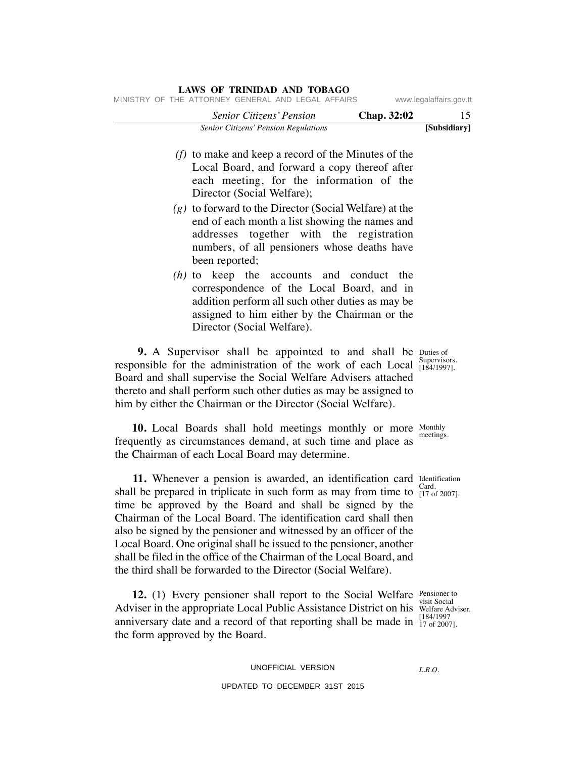| www.legalaffairs.gov.tt |             | MINISTRY OF THE ATTORNEY GENERAL AND LEGAL AFFAIRS                                                                                                                                                                                                                                                                                                                |
|-------------------------|-------------|-------------------------------------------------------------------------------------------------------------------------------------------------------------------------------------------------------------------------------------------------------------------------------------------------------------------------------------------------------------------|
| 15                      | Chap. 32:02 | Senior Citizens' Pension                                                                                                                                                                                                                                                                                                                                          |
| [Subsidiary]            |             | Senior Citizens' Pension Regulations                                                                                                                                                                                                                                                                                                                              |
|                         |             | $(f)$ to make and keep a record of the Minutes of the<br>Local Board, and forward a copy thereof after<br>each meeting, for the information of the<br>Director (Social Welfare);                                                                                                                                                                                  |
|                         |             | $(g)$ to forward to the Director (Social Welfare) at the<br>end of each month a list showing the names and<br>addresses together with the registration<br>numbers, of all pensioners whose deaths have<br>been reported;                                                                                                                                          |
|                         |             | (h) to keep the accounts and conduct the<br>correspondence of the Local Board, and in<br>addition perform all such other duties as may be<br>assigned to him either by the Chairman or the<br>Director (Social Welfare).                                                                                                                                          |
| Supervisors.            |             | 9. A Supervisor shall be appointed to and shall be Duties of<br>responsible for the administration of the work of each Local $\frac{Super~V}{[184/1997]}.$<br>Board and shall supervise the Social Welfare Advisers attached<br>thereto and shall perform such other duties as may be assigned to<br>him by either the Chairman or the Director (Social Welfare). |
| meetings.               |             | 10. Local Boards shall hold meetings monthly or more Monthly<br>frequently as circumstances demand, at such time and place as<br>the Chairman of each Local Board may determine.                                                                                                                                                                                  |
|                         |             | 11. Whenever a pension is awarded an identification card Identification                                                                                                                                                                                                                                                                                           |

**11.** Whenever a pension is awarded, an identification card Identification card Identification card Identification card Card. shall be prepared in triplicate in such form as may from time to  $\frac{\text{c}^{2} \text{d} u}{\frac{17}{9} \text{d} 2007}$ . time be approved by the Board and shall be signed by the Chairman of the Local Board. The identification card shall then also be signed by the pensioner and witnessed by an officer of the Local Board. One original shall be issued to the pensioner, another shall be filed in the office of the Chairman of the Local Board, and the third shall be forwarded to the Director (Social Welfare).

**12.** (1) Every pensioner shall report to the Social Welfare Pensioner to the Social Welfare Pensioner of the Social Welfare Pensioner of the Social Welfare Pensioner of the Social Welfare Pensioner of the Social Welfare P Adviser in the appropriate Local Public Assistance District on his Welfare Adviser. anniversary date and a record of that reporting shall be made in  $\frac{118471997}{17062007}$ the form approved by the Board.

UNOFFICIAL VERSION

UPDATED TO DECEMBER 31ST 2015

Identification

Pensioner to [184/1997

*L.R.O.*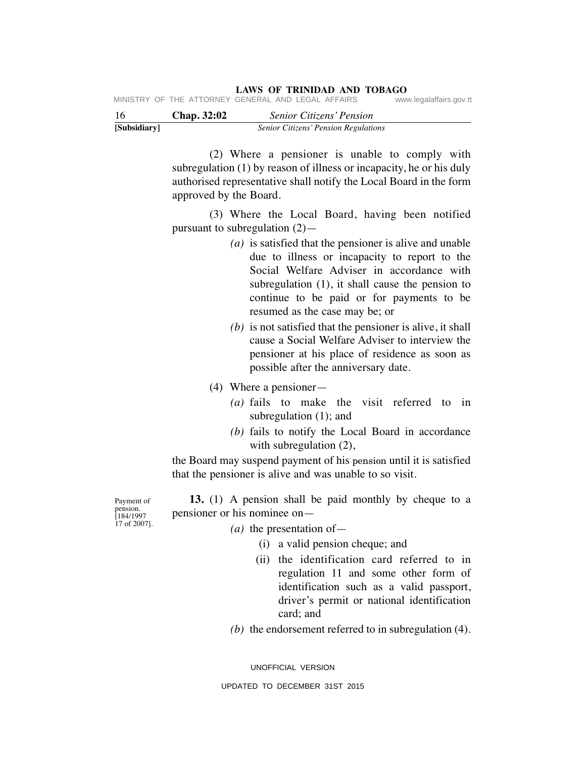| Chan. 32:02. | Senior Citizens' Pension                           |                         |
|--------------|----------------------------------------------------|-------------------------|
|              | MINISTRY OF THE ATTORNEY GENERAL AND LEGAL AFFAIRS | www.legalaffairs.gov.tt |

| 16           | Chap. 32:02 | Senior Citizens' Pension             |  |
|--------------|-------------|--------------------------------------|--|
| [Subsidiary] |             | Senior Citizens' Pension Regulations |  |

 (2) Where a pensioner is unable to comply with subregulation (1) by reason of illness or incapacity, he or his duly authorised representative shall notify the Local Board in the form approved by the Board.

 (3) Where the Local Board, having been notified pursuant to subregulation (2)—

- *(a)* is satisfied that the pensioner is alive and unable due to illness or incapacity to report to the Social Welfare Adviser in accordance with subregulation (1), it shall cause the pension to continue to be paid or for payments to be resumed as the case may be; or
- *(b)* is not satisfied that the pensioner is alive, it shall cause a Social Welfare Adviser to interview the pensioner at his place of residence as soon as possible after the anniversary date.
- (4) Where a pensioner—
	- *(a)* fails to make the visit referred to in subregulation (1); and
	- *(b)* fails to notify the Local Board in accordance with subregulation (2),

the Board may suspend payment of his pension until it is satisfied that the pensioner is alive and was unable to so visit.

Payment of pension. [184/1997 17 of 2007].

 **13.** (1) A pension shall be paid monthly by cheque to a pensioner or his nominee on—

- *(a)* the presentation of—
	- (i) a valid pension cheque; and
	- (ii) the identification card referred to in regulation 11 and some other form of identification such as a valid passport, driver's permit or national identification card; and
- *(b)* the endorsement referred to in subregulation (4).

UNOFFICIAL VERSION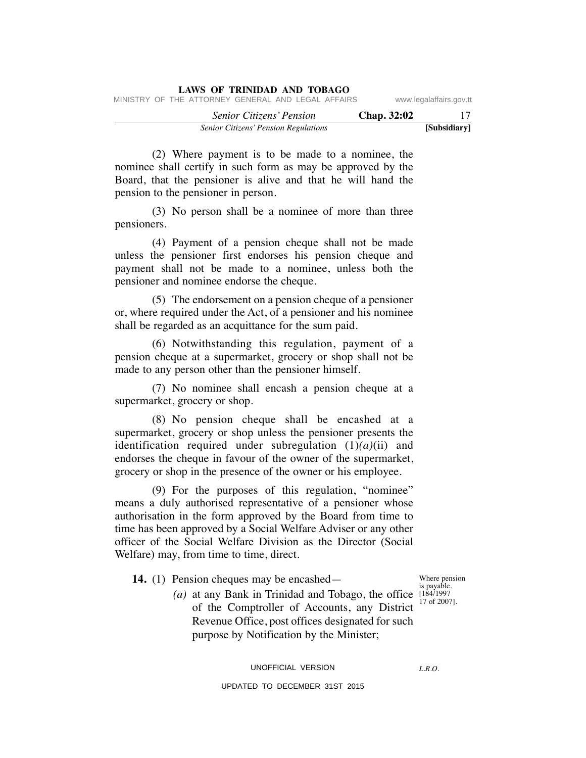|  |  | LAWS OF TRINIDAD AND TOBAGO                        |  |  |             |                         |     |
|--|--|----------------------------------------------------|--|--|-------------|-------------------------|-----|
|  |  | MINISTRY OF THE ATTORNEY GENERAL AND LEGAL AFFAIRS |  |  |             | www.legalaffairs.gov.tt |     |
|  |  | <b>Senior Citizens' Pension</b>                    |  |  | Chap. 32:02 |                         | -17 |
|  |  | <b>Senior Citizens' Pension Regulations</b>        |  |  |             | [Subsidiary]            |     |

 (2) Where payment is to be made to a nominee, the nominee shall certify in such form as may be approved by the Board, that the pensioner is alive and that he will hand the pension to the pensioner in person.

 (3) No person shall be a nominee of more than three pensioners.

 (4) Payment of a pension cheque shall not be made unless the pensioner first endorses his pension cheque and payment shall not be made to a nominee, unless both the pensioner and nominee endorse the cheque.

 (5) The endorsement on a pension cheque of a pensioner or, where required under the Act, of a pensioner and his nominee shall be regarded as an acquittance for the sum paid.

 (6) Notwithstanding this regulation, payment of a pension cheque at a supermarket, grocery or shop shall not be made to any person other than the pensioner himself.

 (7) No nominee shall encash a pension cheque at a supermarket, grocery or shop.

 (8) No pension cheque shall be encashed at a supermarket, grocery or shop unless the pensioner presents the identification required under subregulation (1)*(a)*(ii) and endorses the cheque in favour of the owner of the supermarket, grocery or shop in the presence of the owner or his employee.

 (9) For the purposes of this regulation, "nominee" means a duly authorised representative of a pensioner whose authorisation in the form approved by the Board from time to time has been approved by a Social Welfare Adviser or any other officer of the Social Welfare Division as the Director (Social Welfare) may, from time to time, direct.

 **14.** (1) Pension cheques may be encashed—

(*a*) at any Bank in Trinidad and Tobago, the office  $[184/1997]$ of the Comptroller of Accounts, any District Revenue Office, post offices designated for such purpose by Notification by the Minister;

Where pension is payable. 17 of 2007].

*L.R.O.* 

UNOFFICIAL VERSION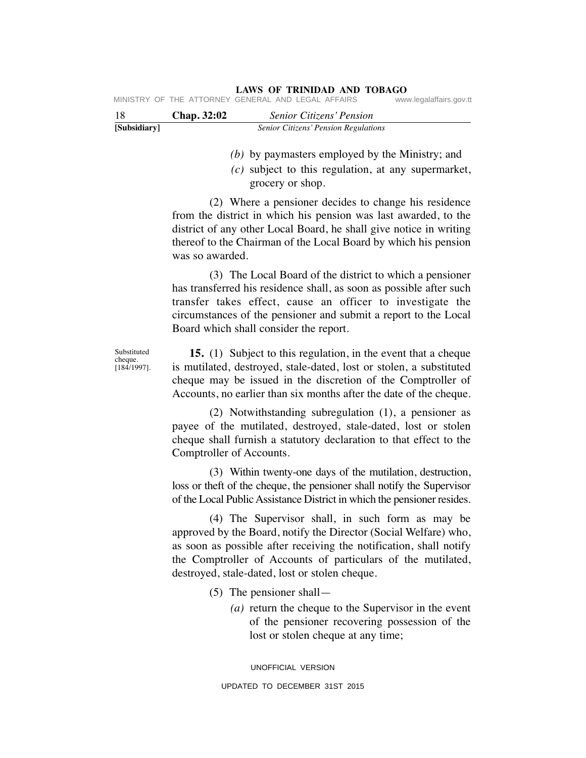| [Subsidiary] |                    | <b>Senior Citizens' Pension Regulations</b>        |                         |
|--------------|--------------------|----------------------------------------------------|-------------------------|
| -18          | <b>Chap.</b> 32:02 | <b>Senior Citizens' Pension</b>                    |                         |
|              |                    | MINISTRY OF THE ATTORNEY GENERAL AND LEGAL AFFAIRS | www.legalaffairs.gov.tt |

*(b)* by paymasters employed by the Ministry; and

 *(c)* subject to this regulation, at any supermarket, grocery or shop.

 (2) Where a pensioner decides to change his residence from the district in which his pension was last awarded, to the district of any other Local Board, he shall give notice in writing thereof to the Chairman of the Local Board by which his pension was so awarded.

 (3) The Local Board of the district to which a pensioner has transferred his residence shall, as soon as possible after such transfer takes effect, cause an officer to investigate the circumstances of the pensioner and submit a report to the Local Board which shall consider the report.

Substituted cheque. [184/1997].

 **15.** (1) Subject to this regulation, in the event that a cheque is mutilated, destroyed, stale-dated, lost or stolen, a substituted cheque may be issued in the discretion of the Comptroller of Accounts, no earlier than six months after the date of the cheque.

 (2) Notwithstanding subregulation (1), a pensioner as payee of the mutilated, destroyed, stale-dated, lost or stolen cheque shall furnish a statutory declaration to that effect to the Comptroller of Accounts.

 (3) Within twenty-one days of the mutilation, destruction, loss or theft of the cheque, the pensioner shall notify the Supervisor of the Local Public Assistance District in which the pensioner resides.

 (4) The Supervisor shall, in such form as may be approved by the Board, notify the Director (Social Welfare) who, as soon as possible after receiving the notification, shall notify the Comptroller of Accounts of particulars of the mutilated, destroyed, stale-dated, lost or stolen cheque.

- (5) The pensioner shall—
	- *(a)* return the cheque to the Supervisor in the event of the pensioner recovering possession of the lost or stolen cheque at any time;

UNOFFICIAL VERSION UPDATED TO DECEMBER 31ST 2015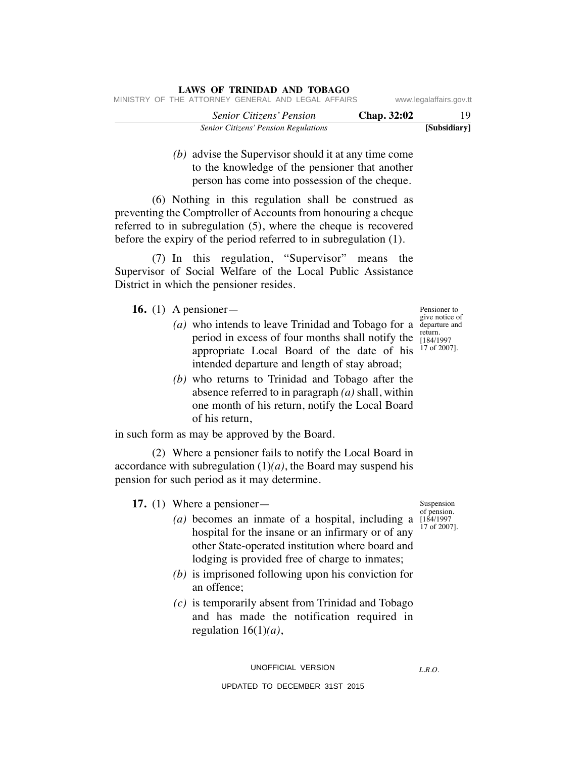| LAWS OF TRINIDAD AND TOBAGO                        |             |                         |
|----------------------------------------------------|-------------|-------------------------|
| MINISTRY OF THE ATTORNEY GENERAL AND LEGAL AFFAIRS |             | www.legalaffairs.gov.tt |
| <i>Senior Citizens' Pension</i>                    | Chap. 32:02 | -19                     |
| <b>Senior Citizens' Pension Regulations</b>        |             | [Subsidiary]            |

 *(b)* advise the Supervisor should it at any time come to the knowledge of the pensioner that another person has come into possession of the cheque.

 (6) Nothing in this regulation shall be construed as preventing the Comptroller of Accounts from honouring a cheque referred to in subregulation (5), where the cheque is recovered before the expiry of the period referred to in subregulation (1).

 (7) In this regulation, "Supervisor" means the Supervisor of Social Welfare of the Local Public Assistance District in which the pensioner resides.

 **16.** (1) A pensioner—

- (*a*) who intends to leave Trinidad and Tobago for a  $\frac{1}{2}$  departure and period in excess of four months shall notify the appropriate Local Board of the date of his intended departure and length of stay abroad;
	- *(b)* who returns to Trinidad and Tobago after the absence referred to in paragraph *(a)* shall, within one month of his return, notify the Local Board of his return,

in such form as may be approved by the Board.

 (2) Where a pensioner fails to notify the Local Board in accordance with subregulation  $(1)(a)$ , the Board may suspend his pension for such period as it may determine.

 **17.** (1) Where a pensioner—

- of pension. (*a*) becomes an inmate of a hospital, including a  $[184/1997]$ hospital for the insane or an infirmary or of any other State-operated institution where board and lodging is provided free of charge to inmates;
	- *(b)* is imprisoned following upon his conviction for an offence;
	- *(c)* is temporarily absent from Trinidad and Tobago and has made the notification required in regulation 16(1)*(a)*,

Suspension

17 of 2007].

Pensioner to give notice of return. [184/1997 17 of 2007].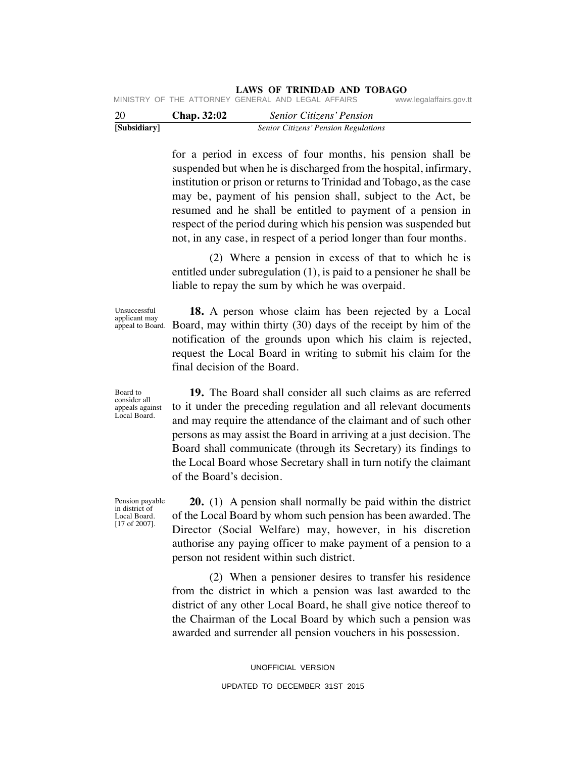| $\sim$ $\sim$ |  |                                                    |  |  |                         |
|---------------|--|----------------------------------------------------|--|--|-------------------------|
|               |  | MINISTRY OF THE ATTORNEY GENERAL AND LEGAL AFFAIRS |  |  | www.legalaffairs.gov.tt |

| 20           | Chap. 32:02 | <b>Senior Citizens' Pension</b>      |  |
|--------------|-------------|--------------------------------------|--|
| [Subsidiary] |             | Senior Citizens' Pension Regulations |  |

for a period in excess of four months, his pension shall be suspended but when he is discharged from the hospital, infirmary, institution or prison or returns to Trinidad and Tobago, as the case may be, payment of his pension shall, subject to the Act, be resumed and he shall be entitled to payment of a pension in respect of the period during which his pension was suspended but not, in any case, in respect of a period longer than four months.

 (2) Where a pension in excess of that to which he is entitled under subregulation (1), is paid to a pensioner he shall be liable to repay the sum by which he was overpaid.

Unsuccessful applicant may appeal to Board.

Board to consider all appeals against Local Board.

 **18.** A person whose claim has been rejected by a Local Board, may within thirty (30) days of the receipt by him of the notification of the grounds upon which his claim is rejected, request the Local Board in writing to submit his claim for the final decision of the Board.

 **19.** The Board shall consider all such claims as are referred to it under the preceding regulation and all relevant documents and may require the attendance of the claimant and of such other persons as may assist the Board in arriving at a just decision. The Board shall communicate (through its Secretary) its findings to the Local Board whose Secretary shall in turn notify the claimant of the Board's decision.

Pension payable in district of Local Board. [17 of 2007].

 **20.** (1) A pension shall normally be paid within the district of the Local Board by whom such pension has been awarded. The Director (Social Welfare) may, however, in his discretion authorise any paying officer to make payment of a pension to a person not resident within such district.

 (2) When a pensioner desires to transfer his residence from the district in which a pension was last awarded to the district of any other Local Board, he shall give notice thereof to the Chairman of the Local Board by which such a pension was awarded and surrender all pension vouchers in his possession.

> UNOFFICIAL VERSION UPDATED TO DECEMBER 31ST 2015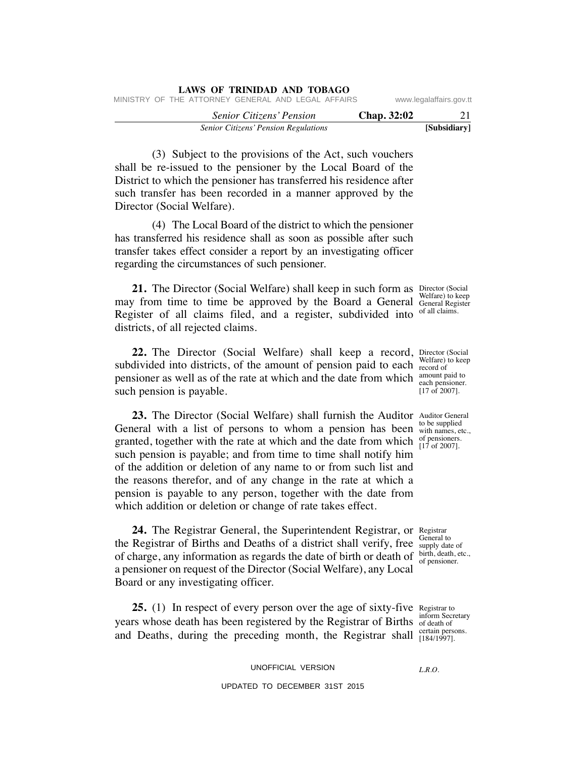| [Subsidiary]<br><b>Senior Citizens' Pension Regulations</b>                   |  |
|-------------------------------------------------------------------------------|--|
| Chap. 32:02<br><i>Senior Citizens' Pension</i>                                |  |
| MINISTRY OF THE ATTORNEY GENERAL AND LEGAL AFFAIRS<br>www.legalaffairs.gov.tt |  |

 (3) Subject to the provisions of the Act, such vouchers shall be re-issued to the pensioner by the Local Board of the District to which the pensioner has transferred his residence after such transfer has been recorded in a manner approved by the Director (Social Welfare).

**LAWS OF TRINIDAD AND TOBAGO**

 (4) The Local Board of the district to which the pensioner has transferred his residence shall as soon as possible after such transfer takes effect consider a report by an investigating officer regarding the circumstances of such pensioner.

**21.** The Director (Social Welfare) shall keep in such form as Director (Social may from time to time be approved by the Board a General General Register Register of all claims filed, and a register, subdivided into of all claims. districts, of all rejected claims.

**22.** The Director (Social Welfare) shall keep a record, Director (Social subdivided into districts, of the amount of pension paid to each  $\frac{\text{wender}}{\text{record of}}$ pensioner as well as of the rate at which and the date from which amount paid to such pension is payable.

**23.** The Director (Social Welfare) shall furnish the Auditor Auditor General General with a list of persons to whom a pension has been  $\frac{60}{\text{with names, etc.}}$ granted, together with the rate at which and the date from which  $_{[17 \text{ of } 2007]}^{0}$ such pension is payable; and from time to time shall notify him of the addition or deletion of any name to or from such list and the reasons therefor, and of any change in the rate at which a pension is payable to any person, together with the date from which addition or deletion or change of rate takes effect.

24. The Registrar General, the Superintendent Registrar, or Registrar the Registrar of Births and Deaths of a district shall verify, free supply date of of charge, any information as regards the date of birth or death of  $\frac{\text{birth, death}}{\text{of pensioner}}$ . a pensioner on request of the Director (Social Welfare), any Local Board or any investigating officer.

**25.** (1) In respect of every person over the age of sixty-five Registrar to years whose death has been registered by the Registrar of Births of death of and Deaths, during the preceding month, the Registrar shall [184/1997].

UNOFFICIAL VERSION

UPDATED TO DECEMBER 31ST 2015

Welfare) to keep

Welfare) to keep each pensioner. [17 of 2007].

to be supplied of pensioners.

General to birth, death, etc.,

inform Secretary

*L.R.O.*